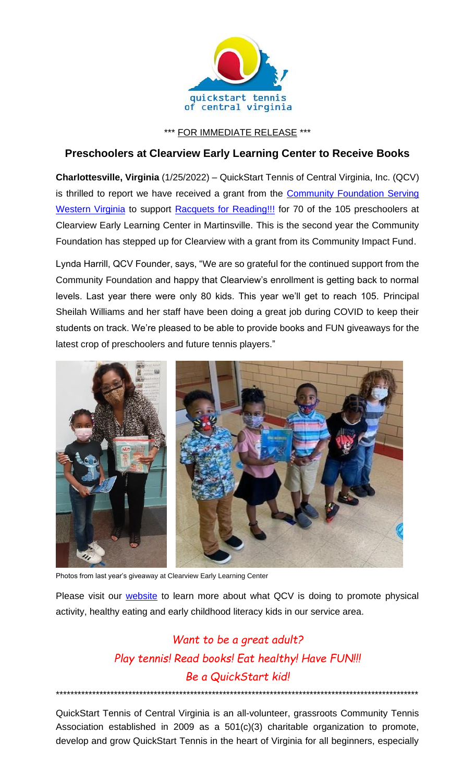

\*\*\* FOR IMMEDIATE RELEASE \*\*\*

## **Preschoolers at Clearview Early Learning Center to Receive Books**

**Charlottesville, Virginia** (1/25/2022) – QuickStart Tennis of Central Virginia, Inc. (QCV) is thrilled to report we have received a grant from the Community Foundation Serving [Western Virginia](http://www.cfwesternva.org/) to support [Racquets for Reading!!!](https://www.quickstartcentral.org/pages/index.cfm?siteid=23306) for 70 of the 105 preschoolers at Clearview Early Learning Center in Martinsville. This is the second year the Community Foundation has stepped up for Clearview with a grant from its Community Impact Fund.

Lynda Harrill, QCV Founder, says, "We are so grateful for the continued support from the Community Foundation and happy that Clearview's enrollment is getting back to normal levels. Last year there were only 80 kids. This year we'll get to reach 105. Principal Sheilah Williams and her staff have been doing a great job during COVID to keep their students on track. We're pleased to be able to provide books and FUN giveaways for the latest crop of preschoolers and future tennis players."



Photos from last year's giveaway at Clearview Early Learning Center

Please visit our **website** to learn more about what QCV is doing to promote physical activity, healthy eating and early childhood literacy kids in our service area.

## *Want to be a great adult? Play tennis! Read books! Eat healthy! Have FUN!!! Be a QuickStart kid!*

QuickStart Tennis of Central Virginia is an all-volunteer, grassroots Community Tennis Association established in 2009 as a 501(c)(3) charitable organization to promote, develop and grow QuickStart Tennis in the heart of Virginia for all beginners, especially

\*\*\*\*\*\*\*\*\*\*\*\*\*\*\*\*\*\*\*\*\*\*\*\*\*\*\*\*\*\*\*\*\*\*\*\*\*\*\*\*\*\*\*\*\*\*\*\*\*\*\*\*\*\*\*\*\*\*\*\*\*\*\*\*\*\*\*\*\*\*\*\*\*\*\*\*\*\*\*\*\*\*\*\*\*\*\*\*\*\*\*\*\*\*\*\*\*\*\*\*